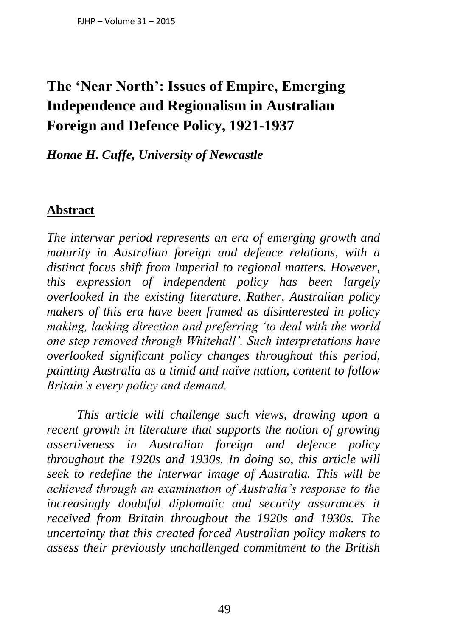## **The 'Near North': Issues of Empire, Emerging Independence and Regionalism in Australian Foreign and Defence Policy, 1921-1937**

*Honae H. Cuffe, University of Newcastle*

## **Abstract**

*The interwar period represents an era of emerging growth and maturity in Australian foreign and defence relations, with a distinct focus shift from Imperial to regional matters. However, this expression of independent policy has been largely overlooked in the existing literature. Rather, Australian policy makers of this era have been framed as disinterested in policy making, lacking direction and preferring 'to deal with the world one step removed through Whitehall'. Such interpretations have overlooked significant policy changes throughout this period, painting Australia as a timid and naïve nation, content to follow Britain's every policy and demand.* 

*This article will challenge such views, drawing upon a recent growth in literature that supports the notion of growing assertiveness in Australian foreign and defence policy throughout the 1920s and 1930s. In doing so, this article will seek to redefine the interwar image of Australia. This will be achieved through an examination of Australia's response to the increasingly doubtful diplomatic and security assurances it received from Britain throughout the 1920s and 1930s. The uncertainty that this created forced Australian policy makers to assess their previously unchallenged commitment to the British*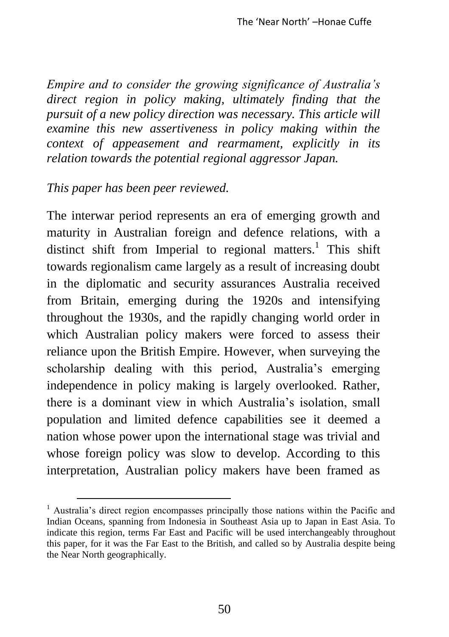*Empire and to consider the growing significance of Australia's direct region in policy making, ultimately finding that the pursuit of a new policy direction was necessary. This article will examine this new assertiveness in policy making within the context of appeasement and rearmament, explicitly in its relation towards the potential regional aggressor Japan.* 

## *This paper has been peer reviewed.*

1

The interwar period represents an era of emerging growth and maturity in Australian foreign and defence relations, with a distinct shift from Imperial to regional matters.<sup>1</sup> This shift towards regionalism came largely as a result of increasing doubt in the diplomatic and security assurances Australia received from Britain, emerging during the 1920s and intensifying throughout the 1930s, and the rapidly changing world order in which Australian policy makers were forced to assess their reliance upon the British Empire. However, when surveying the scholarship dealing with this period, Australia's emerging independence in policy making is largely overlooked. Rather, there is a dominant view in which Australia's isolation, small population and limited defence capabilities see it deemed a nation whose power upon the international stage was trivial and whose foreign policy was slow to develop. According to this interpretation, Australian policy makers have been framed as

<sup>&</sup>lt;sup>1</sup> Australia's direct region encompasses principally those nations within the Pacific and Indian Oceans, spanning from Indonesia in Southeast Asia up to Japan in East Asia. To indicate this region, terms Far East and Pacific will be used interchangeably throughout this paper, for it was the Far East to the British, and called so by Australia despite being the Near North geographically.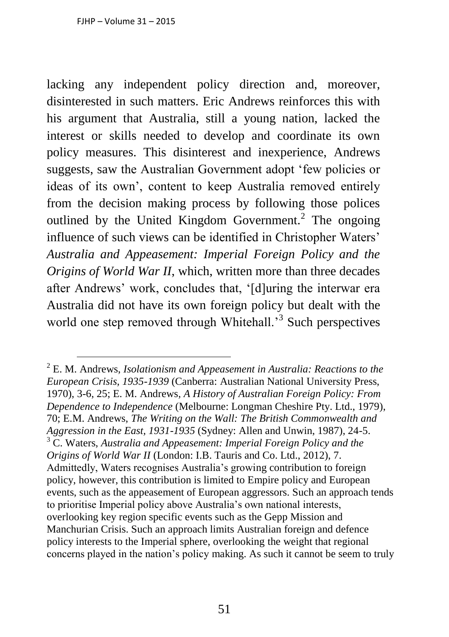<u>.</u>

lacking any independent policy direction and, moreover, disinterested in such matters. Eric Andrews reinforces this with his argument that Australia, still a young nation, lacked the interest or skills needed to develop and coordinate its own policy measures. This disinterest and inexperience, Andrews suggests, saw the Australian Government adopt 'few policies or ideas of its own', content to keep Australia removed entirely from the decision making process by following those polices outlined by the United Kingdom Government.<sup>2</sup> The ongoing influence of such views can be identified in Christopher Waters' *Australia and Appeasement: Imperial Foreign Policy and the Origins of World War II*, which, written more than three decades after Andrews' work, concludes that, '[d]uring the interwar era Australia did not have its own foreign policy but dealt with the world one step removed through Whitehall.<sup>3</sup> Such perspectives

<sup>2</sup> E. M. Andrews, *Isolationism and Appeasement in Australia: Reactions to the European Crisis, 1935-1939* (Canberra: Australian National University Press, 1970), 3-6, 25; E. M. Andrews*, A History of Australian Foreign Policy: From Dependence to Independence* (Melbourne: Longman Cheshire Pty. Ltd., 1979), 70; E.M. Andrews, *The Writing on the Wall: The British Commonwealth and Aggression in the East, 1931-1935* (Sydney: Allen and Unwin, 1987), 24-5. <sup>3</sup> C. Waters, *Australia and Appeasement: Imperial Foreign Policy and the Origins of World War II* (London: I.B. Tauris and Co. Ltd., 2012), 7. Admittedly, Waters recognises Australia's growing contribution to foreign policy, however, this contribution is limited to Empire policy and European events, such as the appeasement of European aggressors. Such an approach tends to prioritise Imperial policy above Australia's own national interests, overlooking key region specific events such as the Gepp Mission and Manchurian Crisis. Such an approach limits Australian foreign and defence policy interests to the Imperial sphere, overlooking the weight that regional concerns played in the nation's policy making. As such it cannot be seem to truly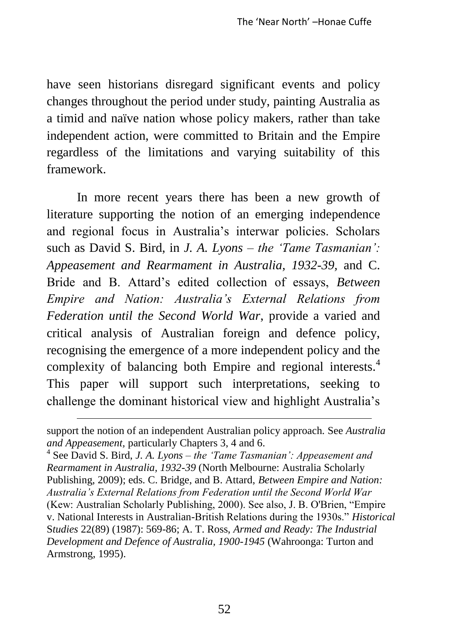have seen historians disregard significant events and policy changes throughout the period under study, painting Australia as a timid and naïve nation whose policy makers, rather than take independent action, were committed to Britain and the Empire regardless of the limitations and varying suitability of this framework.

In more recent years there has been a new growth of literature supporting the notion of an emerging independence and regional focus in Australia's interwar policies. Scholars such as David S. Bird, in *J. A. Lyons – the 'Tame Tasmanian': Appeasement and Rearmament in Australia, 1932-39,* and C. Bride and B. Attard's edited collection of essays, *Between Empire and Nation: Australia's External Relations from Federation until the Second World War*, provide a varied and critical analysis of Australian foreign and defence policy, recognising the emergence of a more independent policy and the complexity of balancing both Empire and regional interests.<sup>4</sup> This paper will support such interpretations, seeking to challenge the dominant historical view and highlight Australia's

support the notion of an independent Australian policy approach. See *Australia and Appeasement,* particularly Chapters 3, 4 and 6.

<sup>4</sup> See David S. Bird, *J. A. Lyons – the 'Tame Tasmanian': Appeasement and Rearmament in Australia, 1932-39* (North Melbourne: Australia Scholarly Publishing, 2009); eds. C. Bridge, and B. Attard, *Between Empire and Nation: Australia's External Relations from Federation until the Second World War*  (Kew: Australian Scholarly Publishing, 2000). See also, J. B. O'Brien, "Empire v. National Interests in Australian-British Relations during the 1930s." *Historical*  S*tudies* 22(89) (1987): 569-86; A. T. Ross, *Armed and Ready: The Industrial Development and Defence of Australia, 1900-1945* (Wahroonga: Turton and Armstrong, 1995).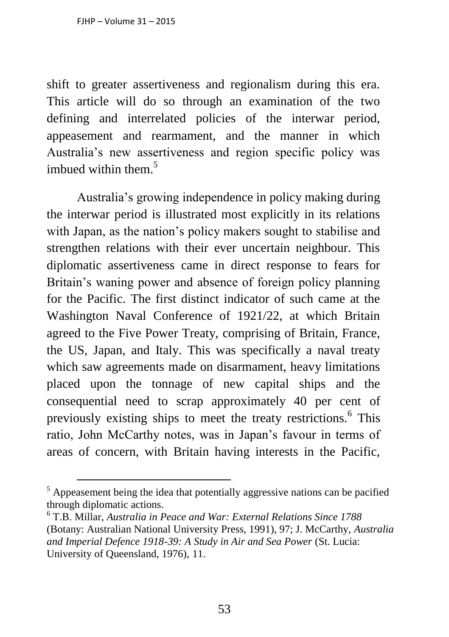1

shift to greater assertiveness and regionalism during this era. This article will do so through an examination of the two defining and interrelated policies of the interwar period, appeasement and rearmament, and the manner in which Australia's new assertiveness and region specific policy was imbued within them  $5$ 

Australia's growing independence in policy making during the interwar period is illustrated most explicitly in its relations with Japan, as the nation's policy makers sought to stabilise and strengthen relations with their ever uncertain neighbour. This diplomatic assertiveness came in direct response to fears for Britain's waning power and absence of foreign policy planning for the Pacific. The first distinct indicator of such came at the Washington Naval Conference of 1921/22, at which Britain agreed to the Five Power Treaty, comprising of Britain, France, the US, Japan, and Italy. This was specifically a naval treaty which saw agreements made on disarmament, heavy limitations placed upon the tonnage of new capital ships and the consequential need to scrap approximately 40 per cent of previously existing ships to meet the treaty restrictions.<sup>6</sup> This ratio, John McCarthy notes, was in Japan's favour in terms of areas of concern, with Britain having interests in the Pacific,

 $<sup>5</sup>$  Appeasement being the idea that potentially aggressive nations can be pacified</sup> through diplomatic actions.

<sup>6</sup> T.B. Millar, *Australia in Peace and War: External Relations Since 1788*  (Botany: Australian National University Press, 1991), 97; J. McCarthy, *Australia and Imperial Defence 1918-39: A Study in Air and Sea Power* (St. Lucia: University of Queensland, 1976), 11.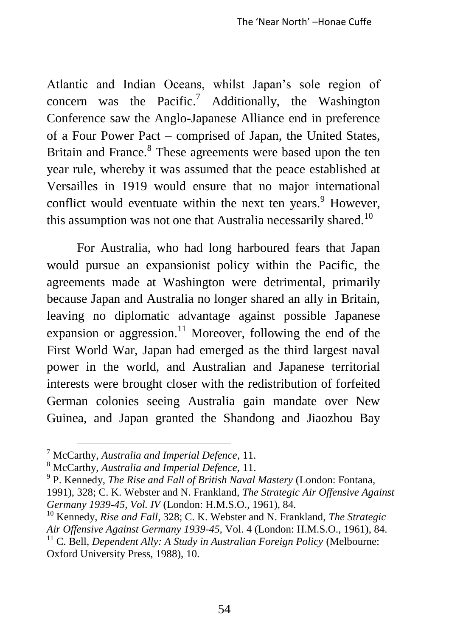Atlantic and Indian Oceans, whilst Japan's sole region of concern was the Pacific.<sup>7</sup> Additionally, the Washington Conference saw the Anglo-Japanese Alliance end in preference of a Four Power Pact – comprised of Japan, the United States, Britain and France.<sup>8</sup> These agreements were based upon the ten year rule, whereby it was assumed that the peace established at Versailles in 1919 would ensure that no major international conflict would eventuate within the next ten vears.<sup>9</sup> However, this assumption was not one that Australia necessarily shared.<sup>10</sup>

For Australia, who had long harboured fears that Japan would pursue an expansionist policy within the Pacific, the agreements made at Washington were detrimental, primarily because Japan and Australia no longer shared an ally in Britain, leaving no diplomatic advantage against possible Japanese expansion or aggression.<sup>11</sup> Moreover, following the end of the First World War, Japan had emerged as the third largest naval power in the world, and Australian and Japanese territorial interests were brought closer with the redistribution of forfeited German colonies seeing Australia gain mandate over New Guinea, and Japan granted the Shandong and Jiaozhou Bay

-

<sup>7</sup> McCarthy, *Australia and Imperial Defence*, 11.

<sup>8</sup> McCarthy, *Australia and Imperial Defence,* 11.

<sup>9</sup> P. Kennedy, *The Rise and Fall of British Naval Mastery* (London: Fontana, 1991), 328; C. K. Webster and N. Frankland, *The Strategic Air Offensive Against Germany 1939-45, Vol. IV* (London: H.M.S.O., 1961), 84.

<sup>10</sup> Kennedy, *Rise and Fall*, 328; C. K. Webster and N. Frankland, *The Strategic Air Offensive Against Germany 1939-45,* Vol. 4 (London: H.M.S.O., 1961), 84.

<sup>&</sup>lt;sup>11</sup> C. Bell, *Dependent Ally: A Study in Australian Foreign Policy* (Melbourne: Oxford University Press, 1988), 10.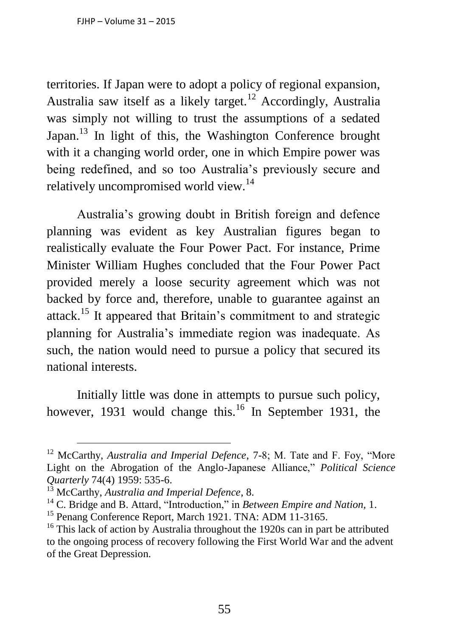territories. If Japan were to adopt a policy of regional expansion, Australia saw itself as a likely target.<sup>12</sup> Accordingly, Australia was simply not willing to trust the assumptions of a sedated Japan.<sup>13</sup> In light of this, the Washington Conference brought with it a changing world order, one in which Empire power was being redefined, and so too Australia's previously secure and relatively uncompromised world view.<sup>14</sup>

Australia's growing doubt in British foreign and defence planning was evident as key Australian figures began to realistically evaluate the Four Power Pact. For instance, Prime Minister William Hughes concluded that the Four Power Pact provided merely a loose security agreement which was not backed by force and, therefore, unable to guarantee against an attack.<sup>15</sup> It appeared that Britain's commitment to and strategic planning for Australia's immediate region was inadequate. As such, the nation would need to pursue a policy that secured its national interests.

Initially little was done in attempts to pursue such policy, however, 1931 would change this.<sup>16</sup> In September 1931, the

-

<sup>&</sup>lt;sup>12</sup> McCarthy, *Australia and Imperial Defence*, 7-8; M. Tate and F. Foy, "More Light on the Abrogation of the Anglo-Japanese Alliance," *Political Science Quarterly* 74(4) 1959: 535-6.

<sup>13</sup> McCarthy, *Australia and Imperial Defence*, 8.

<sup>14</sup> C. Bridge and B. Attard, "Introduction," in *Between Empire and Nation,* 1.

<sup>&</sup>lt;sup>15</sup> Penang Conference Report, March 1921. TNA: ADM 11-3165.

<sup>&</sup>lt;sup>16</sup> This lack of action by Australia throughout the 1920s can in part be attributed to the ongoing process of recovery following the First World War and the advent of the Great Depression.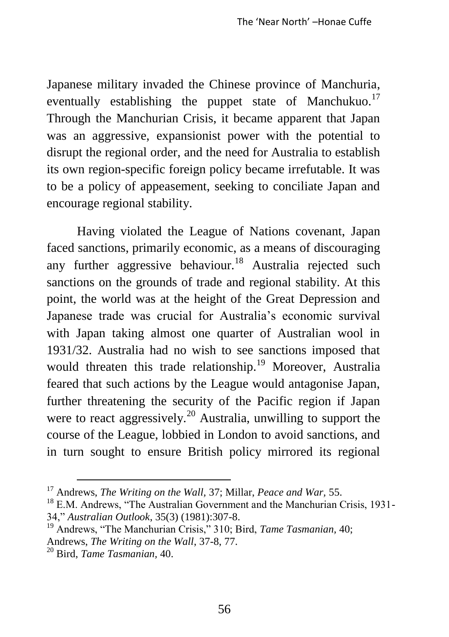Japanese military invaded the Chinese province of Manchuria, eventually establishing the puppet state of Manchukuo.<sup>17</sup> Through the Manchurian Crisis, it became apparent that Japan was an aggressive, expansionist power with the potential to disrupt the regional order, and the need for Australia to establish its own region-specific foreign policy became irrefutable. It was to be a policy of appeasement, seeking to conciliate Japan and encourage regional stability.

Having violated the League of Nations covenant, Japan faced sanctions, primarily economic, as a means of discouraging any further aggressive behaviour.<sup>18</sup> Australia rejected such sanctions on the grounds of trade and regional stability. At this point, the world was at the height of the Great Depression and Japanese trade was crucial for Australia's economic survival with Japan taking almost one quarter of Australian wool in 1931/32. Australia had no wish to see sanctions imposed that would threaten this trade relationship.<sup>19</sup> Moreover, Australia feared that such actions by the League would antagonise Japan, further threatening the security of the Pacific region if Japan were to react aggressively.<sup>20</sup> Australia, unwilling to support the course of the League, lobbied in London to avoid sanctions, and in turn sought to ensure British policy mirrored its regional

<sup>17</sup> Andrews, *The Writing on the Wall,* 37; Millar, *Peace and War,* 55.

<sup>&</sup>lt;sup>18</sup> E.M. Andrews, "The Australian Government and the Manchurian Crisis, 1931-34," *Australian Outlook*, 35(3) (1981):307-8.

<sup>19</sup> Andrews, "The Manchurian Crisis," 310; Bird, *Tame Tasmanian,* 40;

Andrews, *The Writing on the Wall*, 37-8, 77.

<sup>20</sup> Bird, *Tame Tasmanian,* 40.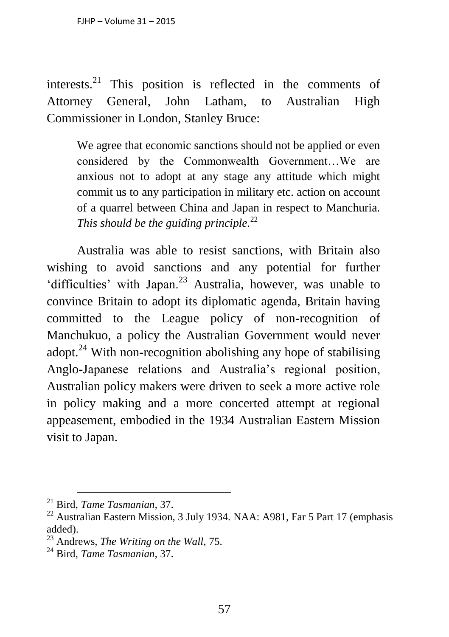interests.<sup>21</sup> This position is reflected in the comments of Attorney General, John Latham, to Australian High Commissioner in London, Stanley Bruce:

We agree that economic sanctions should not be applied or even considered by the Commonwealth Government…We are anxious not to adopt at any stage any attitude which might commit us to any participation in military etc. action on account of a quarrel between China and Japan in respect to Manchuria. *This should be the guiding principle.*<sup>22</sup>

Australia was able to resist sanctions, with Britain also wishing to avoid sanctions and any potential for further 'difficulties' with Japan.<sup>23</sup> Australia, however, was unable to convince Britain to adopt its diplomatic agenda, Britain having committed to the League policy of non-recognition of Manchukuo, a policy the Australian Government would never adopt. $24$  With non-recognition abolishing any hope of stabilising Anglo-Japanese relations and Australia's regional position, Australian policy makers were driven to seek a more active role in policy making and a more concerted attempt at regional appeasement, embodied in the 1934 Australian Eastern Mission visit to Japan.

<sup>21</sup> Bird, *Tame Tasmanian,* 37.

 $^{22}$  Australian Eastern Mission, 3 July 1934. NAA: A981, Far 5 Part 17 (emphasis added).

<sup>23</sup> Andrews, *The Writing on the Wall,* 75.

<sup>24</sup> Bird, *Tame Tasmanian,* 37.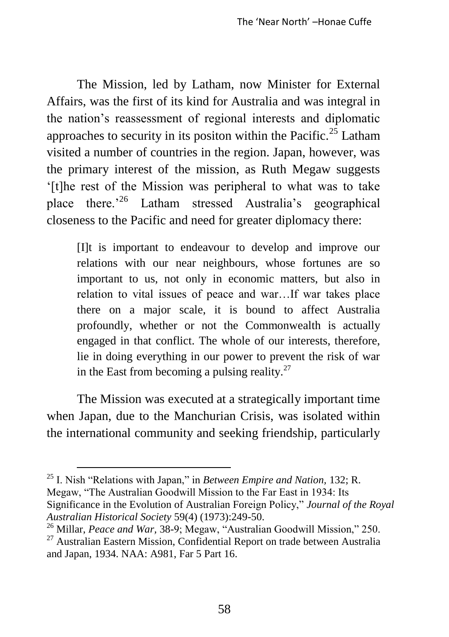The Mission, led by Latham, now Minister for External Affairs, was the first of its kind for Australia and was integral in the nation's reassessment of regional interests and diplomatic approaches to security in its positon within the Pacific.<sup>25</sup> Latham visited a number of countries in the region. Japan, however, was the primary interest of the mission, as Ruth Megaw suggests '[t]he rest of the Mission was peripheral to what was to take place there.'<sup>26</sup> Latham stressed Australia's geographical closeness to the Pacific and need for greater diplomacy there:

[I]t is important to endeavour to develop and improve our relations with our near neighbours, whose fortunes are so important to us, not only in economic matters, but also in relation to vital issues of peace and war…If war takes place there on a major scale, it is bound to affect Australia profoundly, whether or not the Commonwealth is actually engaged in that conflict. The whole of our interests, therefore, lie in doing everything in our power to prevent the risk of war in the East from becoming a pulsing reality.<sup>27</sup>

The Mission was executed at a strategically important time when Japan, due to the Manchurian Crisis, was isolated within the international community and seeking friendship, particularly

<sup>25</sup> I. Nish "Relations with Japan," in *Between Empire and Nation,* 132; R. Megaw, "The Australian Goodwill Mission to the Far East in 1934: Its Significance in the Evolution of Australian Foreign Policy," *Journal of the Royal* 

*Australian Historical Society* 59(4) (1973):249-50.

<sup>&</sup>lt;sup>26</sup> Millar, *Peace and War*, 38-9; Megaw, "Australian Goodwill Mission," 250.

<sup>&</sup>lt;sup>27</sup> Australian Eastern Mission, Confidential Report on trade between Australia and Japan, 1934. NAA: A981, Far 5 Part 16.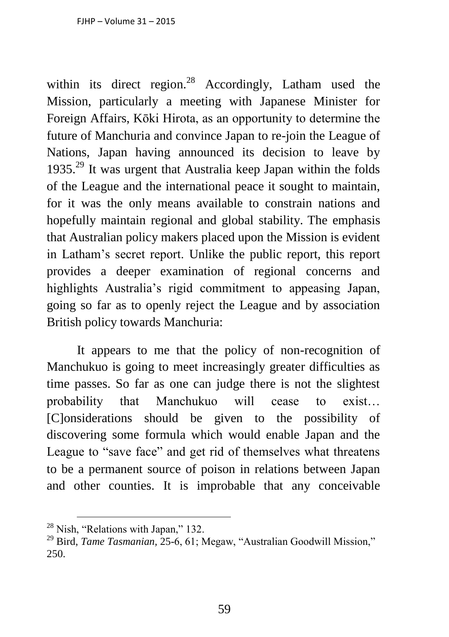within its direct region. $^{28}$  Accordingly, Latham used the Mission, particularly a meeting with Japanese Minister for Foreign Affairs, Kōki Hirota, as an opportunity to determine the future of Manchuria and convince Japan to re-join the League of Nations, Japan having announced its decision to leave by 1935.<sup>29</sup> It was urgent that Australia keep Japan within the folds of the League and the international peace it sought to maintain, for it was the only means available to constrain nations and hopefully maintain regional and global stability. The emphasis that Australian policy makers placed upon the Mission is evident in Latham's secret report. Unlike the public report, this report provides a deeper examination of regional concerns and highlights Australia's rigid commitment to appeasing Japan, going so far as to openly reject the League and by association British policy towards Manchuria:

It appears to me that the policy of non-recognition of Manchukuo is going to meet increasingly greater difficulties as time passes. So far as one can judge there is not the slightest probability that Manchukuo will cease to exist… [C]onsiderations should be given to the possibility of discovering some formula which would enable Japan and the League to "save face" and get rid of themselves what threatens to be a permanent source of poison in relations between Japan and other counties. It is improbable that any conceivable

<sup>&</sup>lt;sup>28</sup> Nish, "Relations with Japan," 132.

<sup>&</sup>lt;sup>29</sup> Bird, *Tame Tasmanian*, 25-6, 61; Megaw, "Australian Goodwill Mission," 250.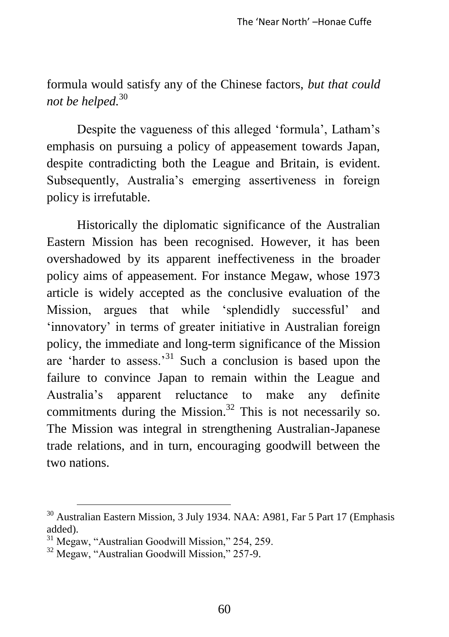formula would satisfy any of the Chinese factors, *but that could not be helped.*<sup>30</sup>

Despite the vagueness of this alleged 'formula', Latham's emphasis on pursuing a policy of appeasement towards Japan, despite contradicting both the League and Britain, is evident. Subsequently, Australia's emerging assertiveness in foreign policy is irrefutable.

Historically the diplomatic significance of the Australian Eastern Mission has been recognised. However, it has been overshadowed by its apparent ineffectiveness in the broader policy aims of appeasement. For instance Megaw, whose 1973 article is widely accepted as the conclusive evaluation of the Mission, argues that while 'splendidly successful' and 'innovatory' in terms of greater initiative in Australian foreign policy, the immediate and long-term significance of the Mission are 'harder to assess.'<sup>31</sup> Such a conclusion is based upon the failure to convince Japan to remain within the League and Australia's apparent reluctance to make any definite commitments during the Mission.<sup>32</sup> This is not necessarily so. The Mission was integral in strengthening Australian-Japanese trade relations, and in turn, encouraging goodwill between the two nations.

<sup>&</sup>lt;sup>30</sup> Australian Eastern Mission, 3 July 1934. NAA: A981, Far 5 Part 17 (Emphasis added).

<sup>31</sup> Megaw, "Australian Goodwill Mission," 254, 259.

<sup>32</sup> Megaw, "Australian Goodwill Mission," 257-9.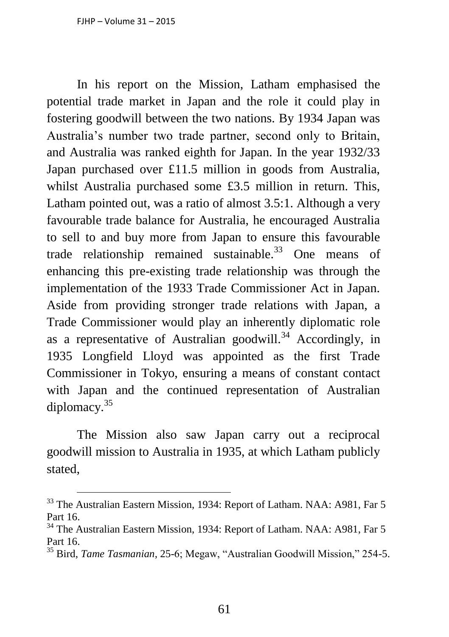In his report on the Mission, Latham emphasised the potential trade market in Japan and the role it could play in fostering goodwill between the two nations. By 1934 Japan was Australia's number two trade partner, second only to Britain, and Australia was ranked eighth for Japan. In the year 1932/33 Japan purchased over £11.5 million in goods from Australia, whilst Australia purchased some £3.5 million in return. This, Latham pointed out, was a ratio of almost 3.5:1. Although a very favourable trade balance for Australia, he encouraged Australia to sell to and buy more from Japan to ensure this favourable trade relationship remained sustainable.<sup>33</sup> One means of enhancing this pre-existing trade relationship was through the implementation of the 1933 Trade Commissioner Act in Japan. Aside from providing stronger trade relations with Japan, a Trade Commissioner would play an inherently diplomatic role as a representative of Australian goodwill.<sup>34</sup> Accordingly. in 1935 Longfield Lloyd was appointed as the first Trade Commissioner in Tokyo, ensuring a means of constant contact with Japan and the continued representation of Australian diplomacy.<sup>35</sup>

The Mission also saw Japan carry out a reciprocal goodwill mission to Australia in 1935, at which Latham publicly stated,

<sup>&</sup>lt;sup>33</sup> The Australian Eastern Mission, 1934: Report of Latham. NAA: A981, Far 5 Part 16.

<sup>&</sup>lt;sup>34</sup> The Australian Eastern Mission, 1934: Report of Latham. NAA: A981, Far 5 Part 16.

<sup>35</sup> Bird, *Tame Tasmanian*, 25-6; Megaw, "Australian Goodwill Mission," 254-5.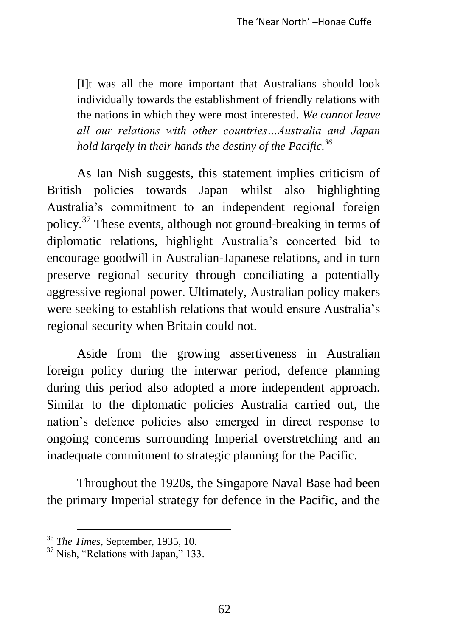[I]t was all the more important that Australians should look individually towards the establishment of friendly relations with the nations in which they were most interested. *We cannot leave all our relations with other countries…Australia and Japan hold largely in their hands the destiny of the Pacific.<sup>36</sup>*

As Ian Nish suggests, this statement implies criticism of British policies towards Japan whilst also highlighting Australia's commitment to an independent regional foreign policy.<sup>37</sup> These events, although not ground-breaking in terms of diplomatic relations, highlight Australia's concerted bid to encourage goodwill in Australian-Japanese relations, and in turn preserve regional security through conciliating a potentially aggressive regional power. Ultimately, Australian policy makers were seeking to establish relations that would ensure Australia's regional security when Britain could not.

Aside from the growing assertiveness in Australian foreign policy during the interwar period, defence planning during this period also adopted a more independent approach. Similar to the diplomatic policies Australia carried out, the nation's defence policies also emerged in direct response to ongoing concerns surrounding Imperial overstretching and an inadequate commitment to strategic planning for the Pacific.

Throughout the 1920s, the Singapore Naval Base had been the primary Imperial strategy for defence in the Pacific, and the

<sup>36</sup> *The Times*, September, 1935, 10.

<sup>&</sup>lt;sup>37</sup> Nish, "Relations with Japan," 133.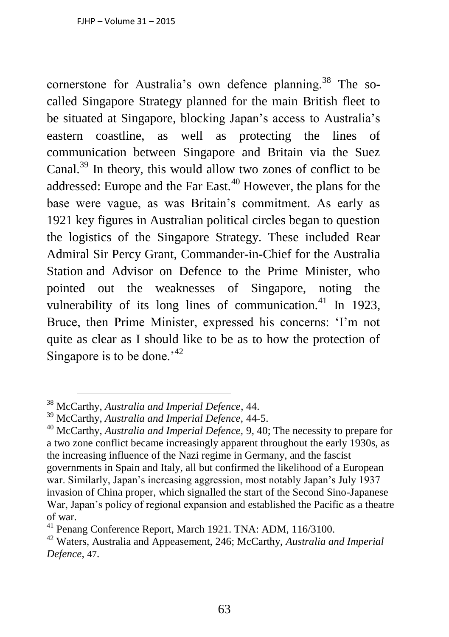cornerstone for Australia's own defence planning.<sup>38</sup> The socalled Singapore Strategy planned for the main British fleet to be situated at Singapore, blocking Japan's access to Australia's eastern coastline, as well as protecting the lines of communication between Singapore and Britain via the Suez Canal.<sup>39</sup> In theory, this would allow two zones of conflict to be addressed: Europe and the Far East.<sup>40</sup> However, the plans for the base were vague, as was Britain's commitment. As early as 1921 key figures in Australian political circles began to question the logistics of the Singapore Strategy. These included Rear Admiral Sir Percy Grant, Commander-in-Chief for the Australia Station and Advisor on Defence to the Prime Minister, who pointed out the weaknesses of Singapore, noting the vulnerability of its long lines of communication.<sup>41</sup> In 1923, Bruce, then Prime Minister, expressed his concerns: 'I'm not quite as clear as I should like to be as to how the protection of Singapore is to be done.<sup>42</sup>

<sup>&</sup>lt;u>.</u> <sup>38</sup> McCarthy, *Australia and Imperial Defence*, 44.

<sup>39</sup> McCarthy, *Australia and Imperial Defence,* 44-5.

<sup>40</sup> McCarthy, *Australia and Imperial Defence,* 9, 40; The necessity to prepare for a two zone conflict became increasingly apparent throughout the early 1930s, as the increasing influence of the Nazi regime in Germany, and the fascist governments in Spain and Italy, all but confirmed the likelihood of a European war. Similarly, Japan's increasing aggression, most notably Japan's July 1937 invasion of China proper, which signalled the start of the Second Sino-Japanese War, Japan's policy of regional expansion and established the Pacific as a theatre of war.

<sup>41</sup> Penang Conference Report, March 1921. TNA: ADM, 116/3100.

<sup>42</sup> Waters, Australia and Appeasement, 246; McCarthy, *Australia and Imperial Defence,* 47.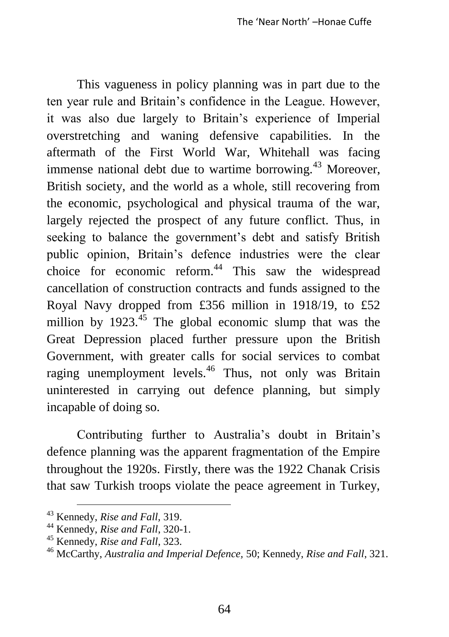This vagueness in policy planning was in part due to the ten year rule and Britain's confidence in the League. However, it was also due largely to Britain's experience of Imperial overstretching and waning defensive capabilities. In the aftermath of the First World War, Whitehall was facing immense national debt due to wartime borrowing. $43$  Moreover, British society, and the world as a whole, still recovering from the economic, psychological and physical trauma of the war, largely rejected the prospect of any future conflict. Thus, in seeking to balance the government's debt and satisfy British public opinion, Britain's defence industries were the clear choice for economic reform.<sup>44</sup> This saw the widespread cancellation of construction contracts and funds assigned to the Royal Navy dropped from £356 million in 1918/19, to £52 million by  $1923<sup>45</sup>$ . The global economic slump that was the Great Depression placed further pressure upon the British Government, with greater calls for social services to combat raging unemployment levels.<sup>46</sup> Thus, not only was Britain uninterested in carrying out defence planning, but simply incapable of doing so.

Contributing further to Australia's doubt in Britain's defence planning was the apparent fragmentation of the Empire throughout the 1920s. Firstly, there was the 1922 Chanak Crisis that saw Turkish troops violate the peace agreement in Turkey,

<sup>43</sup> Kennedy, *Rise and Fall,* 319.

<sup>44</sup> Kennedy, *Rise and Fall*, 320-1.

<sup>45</sup> Kennedy, *Rise and Fall*, 323.

<sup>46</sup> McCarthy, *Australia and Imperial Defence,* 50; Kennedy, *Rise and Fall*, 321.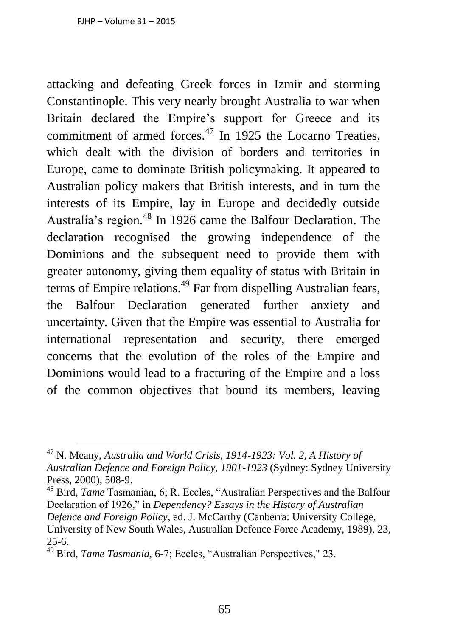-

attacking and defeating Greek forces in Izmir and storming Constantinople. This very nearly brought Australia to war when Britain declared the Empire's support for Greece and its commitment of armed forces. $47$  In 1925 the Locarno Treaties, which dealt with the division of borders and territories in Europe, came to dominate British policymaking. It appeared to Australian policy makers that British interests, and in turn the interests of its Empire, lay in Europe and decidedly outside Australia's region.<sup>48</sup> In 1926 came the Balfour Declaration. The declaration recognised the growing independence of the Dominions and the subsequent need to provide them with greater autonomy, giving them equality of status with Britain in terms of Empire relations.<sup>49</sup> Far from dispelling Australian fears, the Balfour Declaration generated further anxiety and uncertainty. Given that the Empire was essential to Australia for international representation and security, there emerged concerns that the evolution of the roles of the Empire and Dominions would lead to a fracturing of the Empire and a loss of the common objectives that bound its members, leaving

<sup>47</sup> N. Meany, *Australia and World Crisis, 1914-1923: Vol. 2, A History of Australian Defence and Foreign Policy, 1901-1923* (Sydney: Sydney University Press, 2000), 508-9.

<sup>48</sup> Bird, *Tame* Tasmanian, 6; R. Eccles, "Australian Perspectives and the Balfour Declaration of 1926," in *Dependency? Essays in the History of Australian Defence and Foreign Policy*, ed. J. McCarthy (Canberra: University College, University of New South Wales, Australian Defence Force Academy, 1989), 23, 25-6.

<sup>49</sup> Bird, *Tame Tasmania,* 6-7; Eccles, "Australian Perspectives," 23.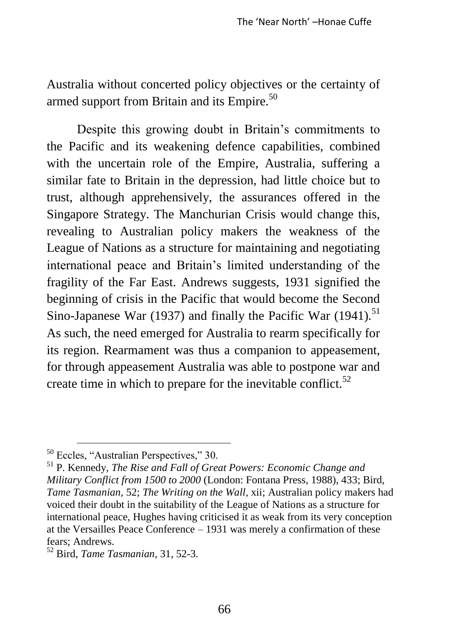Australia without concerted policy objectives or the certainty of armed support from Britain and its Empire.<sup>50</sup>

Despite this growing doubt in Britain's commitments to the Pacific and its weakening defence capabilities, combined with the uncertain role of the Empire, Australia, suffering a similar fate to Britain in the depression, had little choice but to trust, although apprehensively, the assurances offered in the Singapore Strategy. The Manchurian Crisis would change this, revealing to Australian policy makers the weakness of the League of Nations as a structure for maintaining and negotiating international peace and Britain's limited understanding of the fragility of the Far East. Andrews suggests, 1931 signified the beginning of crisis in the Pacific that would become the Second Sino-Japanese War (1937) and finally the Pacific War (1941).<sup>51</sup> As such, the need emerged for Australia to rearm specifically for its region. Rearmament was thus a companion to appeasement, for through appeasement Australia was able to postpone war and create time in which to prepare for the inevitable conflict. $52$ 

-

<sup>50</sup> Eccles, "Australian Perspectives," 30.

<sup>51</sup> P. Kennedy, *The Rise and Fall of Great Powers: Economic Change and Military Conflict from 1500 to 2000* (London: Fontana Press, 1988), 433; Bird, *Tame Tasmanian,* 52; *The Writing on the Wall*, xii; Australian policy makers had voiced their doubt in the suitability of the League of Nations as a structure for international peace, Hughes having criticised it as weak from its very conception at the Versailles Peace Conference – 1931 was merely a confirmation of these fears; Andrews.

<sup>52</sup> Bird, *Tame Tasmanian,* 31, 52-3.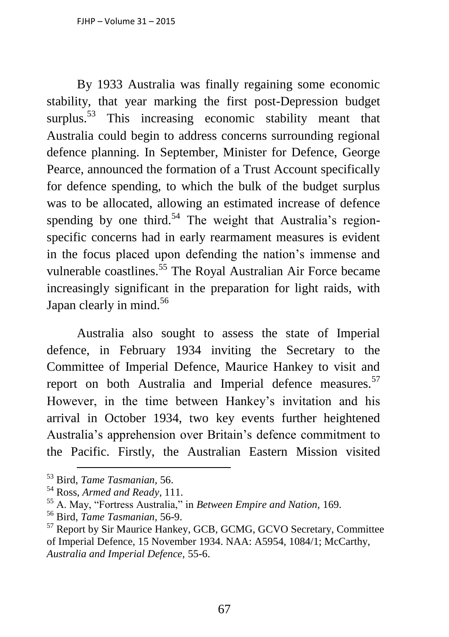By 1933 Australia was finally regaining some economic stability, that year marking the first post-Depression budget surplus.<sup>53</sup> This increasing economic stability meant that Australia could begin to address concerns surrounding regional defence planning. In September, Minister for Defence, George Pearce, announced the formation of a Trust Account specifically for defence spending, to which the bulk of the budget surplus was to be allocated, allowing an estimated increase of defence spending by one third.<sup>54</sup> The weight that Australia's regionspecific concerns had in early rearmament measures is evident in the focus placed upon defending the nation's immense and vulnerable coastlines.<sup>55</sup> The Royal Australian Air Force became increasingly significant in the preparation for light raids, with Japan clearly in mind.<sup>56</sup>

Australia also sought to assess the state of Imperial defence, in February 1934 inviting the Secretary to the Committee of Imperial Defence, Maurice Hankey to visit and report on both Australia and Imperial defence measures.<sup>57</sup> However, in the time between Hankey's invitation and his arrival in October 1934, two key events further heightened Australia's apprehension over Britain's defence commitment to the Pacific. Firstly, the Australian Eastern Mission visited

<sup>53</sup> Bird, *Tame Tasmanian,* 56.

<sup>54</sup> Ross, *Armed and Ready,* 111.

<sup>55</sup> A. May, "Fortress Australia," in *Between Empire and Nation,* 169.

<sup>56</sup> Bird, *Tame Tasmanian,* 56-9.

<sup>&</sup>lt;sup>57</sup> Report by Sir Maurice Hankey, GCB, GCMG, GCVO Secretary, Committee of Imperial Defence, 15 November 1934. NAA: A5954, 1084/1; McCarthy, *Australia and Imperial Defence,* 55-6.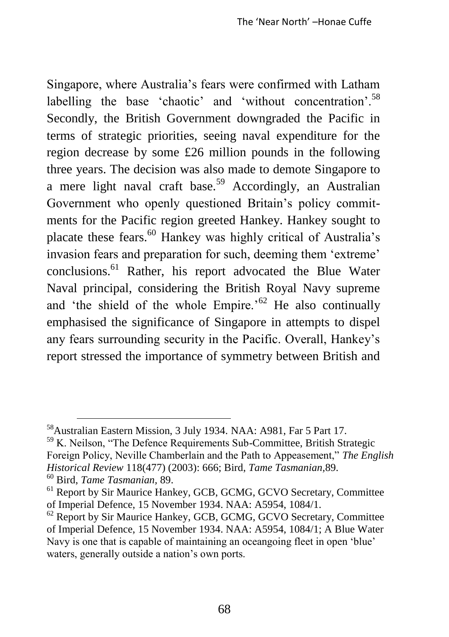Singapore, where Australia's fears were confirmed with Latham labelling the base 'chaotic' and 'without concentration'.<sup>58</sup> Secondly, the British Government downgraded the Pacific in terms of strategic priorities, seeing naval expenditure for the region decrease by some £26 million pounds in the following three years. The decision was also made to demote Singapore to a mere light naval craft base.<sup>59</sup> Accordingly, an Australian Government who openly questioned Britain's policy commitments for the Pacific region greeted Hankey. Hankey sought to placate these fears.<sup>60</sup> Hankey was highly critical of Australia's invasion fears and preparation for such, deeming them 'extreme' conclusions.<sup>61</sup> Rather, his report advocated the Blue Water Naval principal, considering the British Royal Navy supreme and 'the shield of the whole  $Empire.^{62}$  He also continually emphasised the significance of Singapore in attempts to dispel any fears surrounding security in the Pacific. Overall, Hankey's report stressed the importance of symmetry between British and

<sup>58</sup>Australian Eastern Mission, 3 July 1934. NAA: A981, Far 5 Part 17.

<sup>&</sup>lt;sup>59</sup> K. Neilson, "The Defence Requirements Sub-Committee, British Strategic Foreign Policy, Neville Chamberlain and the Path to Appeasement," *The English Historical Review* 118(477) (2003): 666; Bird, *Tame Tasmanian,*89. <sup>60</sup> Bird, *Tame Tasmanian,* 89.

<sup>&</sup>lt;sup>61</sup> Report by Sir Maurice Hankey, GCB, GCMG, GCVO Secretary, Committee of Imperial Defence, 15 November 1934. NAA: A5954, 1084/1.

 $62$  Report by Sir Maurice Hankey, GCB, GCMG, GCVO Secretary, Committee of Imperial Defence, 15 November 1934. NAA: A5954, 1084/1; A Blue Water Navy is one that is capable of maintaining an oceangoing fleet in open 'blue' waters, generally outside a nation's own ports.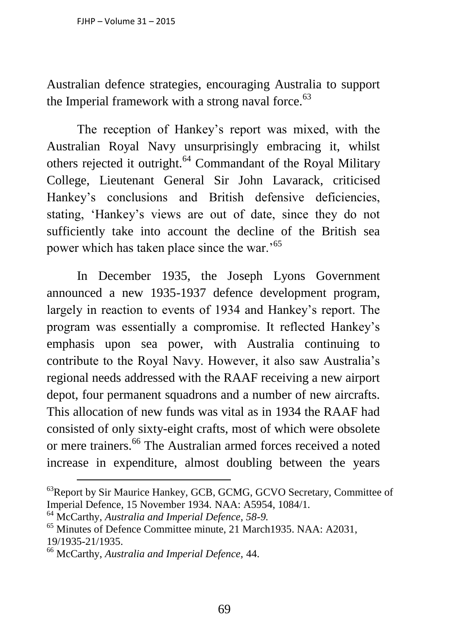Australian defence strategies, encouraging Australia to support the Imperial framework with a strong naval force. $63$ 

The reception of Hankey's report was mixed, with the Australian Royal Navy unsurprisingly embracing it, whilst others rejected it outright.<sup>64</sup> Commandant of the Royal Military College, Lieutenant General Sir John Lavarack, criticised Hankey's conclusions and British defensive deficiencies, stating, 'Hankey's views are out of date, since they do not sufficiently take into account the decline of the British sea power which has taken place since the war.'<sup>65</sup>

In December 1935, the Joseph Lyons Government announced a new 1935-1937 defence development program, largely in reaction to events of 1934 and Hankey's report. The program was essentially a compromise. It reflected Hankey's emphasis upon sea power, with Australia continuing to contribute to the Royal Navy. However, it also saw Australia's regional needs addressed with the RAAF receiving a new airport depot, four permanent squadrons and a number of new aircrafts. This allocation of new funds was vital as in 1934 the RAAF had consisted of only sixty-eight crafts, most of which were obsolete or mere trainers.<sup>66</sup> The Australian armed forces received a noted increase in expenditure, almost doubling between the years

<sup>&</sup>lt;sup>63</sup>Report by Sir Maurice Hankey, GCB, GCMG, GCVO Secretary, Committee of Imperial Defence, 15 November 1934. NAA: A5954, 1084/1.

<sup>64</sup> McCarthy, *Australia and Imperial Defence, 58-9.*

<sup>65</sup> Minutes of Defence Committee minute, 21 March1935. NAA: A2031, 19/1935-21/1935.

<sup>66</sup> McCarthy, *Australia and Imperial Defence,* 44.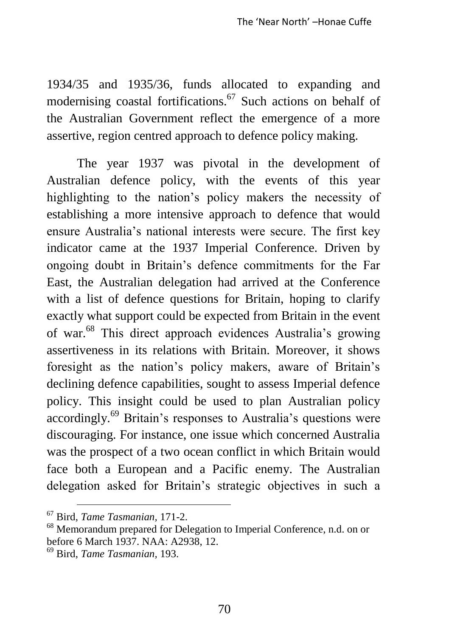1934/35 and 1935/36, funds allocated to expanding and modernising coastal fortifications.<sup>67</sup> Such actions on behalf of the Australian Government reflect the emergence of a more assertive, region centred approach to defence policy making.

The year 1937 was pivotal in the development of Australian defence policy, with the events of this year highlighting to the nation's policy makers the necessity of establishing a more intensive approach to defence that would ensure Australia's national interests were secure. The first key indicator came at the 1937 Imperial Conference. Driven by ongoing doubt in Britain's defence commitments for the Far East, the Australian delegation had arrived at the Conference with a list of defence questions for Britain, hoping to clarify exactly what support could be expected from Britain in the event of war.<sup>68</sup> This direct approach evidences Australia's growing assertiveness in its relations with Britain. Moreover, it shows foresight as the nation's policy makers, aware of Britain's declining defence capabilities, sought to assess Imperial defence policy. This insight could be used to plan Australian policy accordingly.<sup>69</sup> Britain's responses to Australia's questions were discouraging. For instance, one issue which concerned Australia was the prospect of a two ocean conflict in which Britain would face both a European and a Pacific enemy. The Australian delegation asked for Britain's strategic objectives in such a

<sup>67</sup> Bird, *Tame Tasmanian,* 171-2.

<sup>68</sup> Memorandum prepared for Delegation to Imperial Conference, n.d. on or before 6 March 1937. NAA: A2938, 12.

<sup>69</sup> Bird, *Tame Tasmanian,* 193.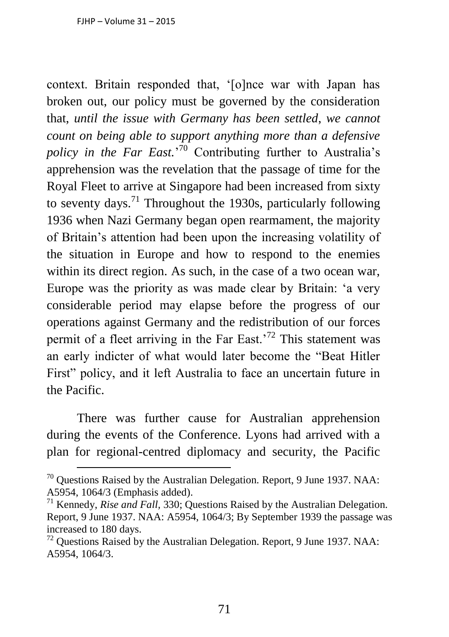<u>.</u>

context. Britain responded that, '[o]nce war with Japan has broken out, our policy must be governed by the consideration that, *until the issue with Germany has been settled*, *we cannot count on being able to support anything more than a defensive policy in the Far East.*' <sup>70</sup> Contributing further to Australia's apprehension was the revelation that the passage of time for the Royal Fleet to arrive at Singapore had been increased from sixty to seventy days.<sup>71</sup> Throughout the 1930s, particularly following 1936 when Nazi Germany began open rearmament, the majority of Britain's attention had been upon the increasing volatility of the situation in Europe and how to respond to the enemies within its direct region. As such, in the case of a two ocean war, Europe was the priority as was made clear by Britain: 'a very considerable period may elapse before the progress of our operations against Germany and the redistribution of our forces permit of a fleet arriving in the Far East.'<sup>72</sup> This statement was an early indicter of what would later become the "Beat Hitler First" policy, and it left Australia to face an uncertain future in the Pacific.

There was further cause for Australian apprehension during the events of the Conference. Lyons had arrived with a plan for regional-centred diplomacy and security, the Pacific

 $70$  Questions Raised by the Australian Delegation. Report, 9 June 1937. NAA: A5954, 1064/3 (Emphasis added).

<sup>71</sup> Kennedy, *Rise and Fall,* 330; Questions Raised by the Australian Delegation. Report, 9 June 1937. NAA: A5954, 1064/3; By September 1939 the passage was increased to 180 days.

<sup>72</sup> Questions Raised by the Australian Delegation. Report, 9 June 1937. NAA: A5954, 1064/3.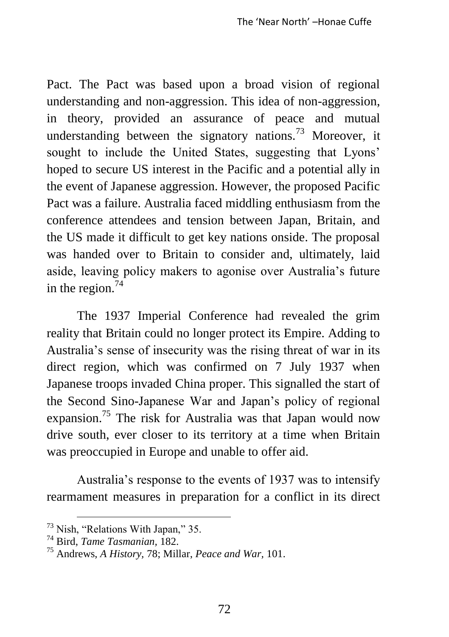Pact. The Pact was based upon a broad vision of regional understanding and non-aggression. This idea of non-aggression, in theory, provided an assurance of peace and mutual understanding between the signatory nations.<sup>73</sup> Moreover, it sought to include the United States, suggesting that Lyons' hoped to secure US interest in the Pacific and a potential ally in the event of Japanese aggression. However, the proposed Pacific Pact was a failure. Australia faced middling enthusiasm from the conference attendees and tension between Japan, Britain, and the US made it difficult to get key nations onside. The proposal was handed over to Britain to consider and, ultimately, laid aside, leaving policy makers to agonise over Australia's future in the region.<sup>74</sup>

The 1937 Imperial Conference had revealed the grim reality that Britain could no longer protect its Empire. Adding to Australia's sense of insecurity was the rising threat of war in its direct region, which was confirmed on 7 July 1937 when Japanese troops invaded China proper. This signalled the start of the Second Sino-Japanese War and Japan's policy of regional expansion.<sup>75</sup> The risk for Australia was that Japan would now drive south, ever closer to its territory at a time when Britain was preoccupied in Europe and unable to offer aid.

Australia's response to the events of 1937 was to intensify rearmament measures in preparation for a conflict in its direct

<sup>73</sup> Nish, "Relations With Japan," 35.

<sup>74</sup> Bird, *Tame Tasmanian,* 182.

<sup>75</sup> Andrews, *A History,* 78; Millar, *Peace and War,* 101.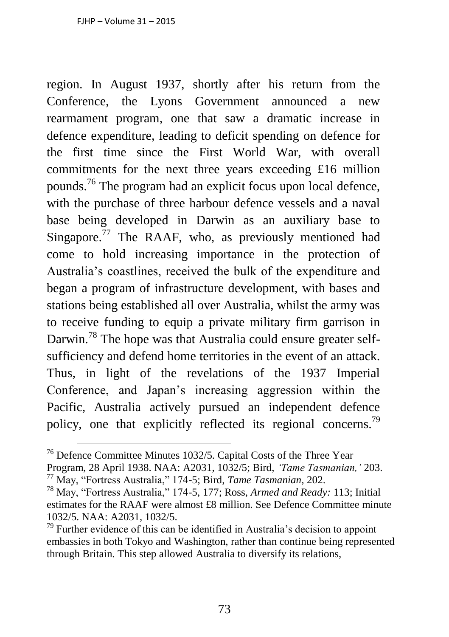-

region. In August 1937, shortly after his return from the Conference, the Lyons Government announced a new rearmament program, one that saw a dramatic increase in defence expenditure, leading to deficit spending on defence for the first time since the First World War, with overall commitments for the next three years exceeding £16 million pounds.<sup>76</sup> The program had an explicit focus upon local defence, with the purchase of three harbour defence vessels and a naval base being developed in Darwin as an auxiliary base to Singapore.<sup>77</sup> The RAAF, who, as previously mentioned had come to hold increasing importance in the protection of Australia's coastlines, received the bulk of the expenditure and began a program of infrastructure development, with bases and stations being established all over Australia, whilst the army was to receive funding to equip a private military firm garrison in Darwin.<sup>78</sup> The hope was that Australia could ensure greater selfsufficiency and defend home territories in the event of an attack. Thus, in light of the revelations of the 1937 Imperial Conference, and Japan's increasing aggression within the Pacific, Australia actively pursued an independent defence policy, one that explicitly reflected its regional concerns.<sup>79</sup>

<sup>76</sup> Defence Committee Minutes 1032/5. Capital Costs of the Three Year Program, 28 April 1938. NAA: A2031, 1032/5; Bird, *'Tame Tasmanian,'* 203. <sup>77</sup> May, "Fortress Australia," 174-5; Bird, *Tame Tasmanian,* 202.

<sup>78</sup> May, "Fortress Australia," 174-5, 177; Ross, *Armed and Ready:* 113; Initial estimates for the RAAF were almost £8 million. See Defence Committee minute 1032/5. NAA: A2031, 1032/5.

 $79$  Further evidence of this can be identified in Australia's decision to appoint embassies in both Tokyo and Washington, rather than continue being represented through Britain. This step allowed Australia to diversify its relations,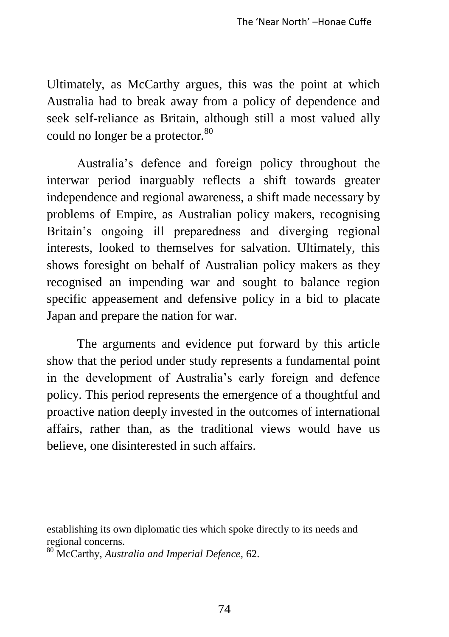Ultimately, as McCarthy argues, this was the point at which Australia had to break away from a policy of dependence and seek self-reliance as Britain, although still a most valued ally could no longer be a protector.<sup>80</sup>

Australia's defence and foreign policy throughout the interwar period inarguably reflects a shift towards greater independence and regional awareness, a shift made necessary by problems of Empire, as Australian policy makers, recognising Britain's ongoing ill preparedness and diverging regional interests, looked to themselves for salvation. Ultimately, this shows foresight on behalf of Australian policy makers as they recognised an impending war and sought to balance region specific appeasement and defensive policy in a bid to placate Japan and prepare the nation for war.

The arguments and evidence put forward by this article show that the period under study represents a fundamental point in the development of Australia's early foreign and defence policy. This period represents the emergence of a thoughtful and proactive nation deeply invested in the outcomes of international affairs, rather than, as the traditional views would have us believe, one disinterested in such affairs.

establishing its own diplomatic ties which spoke directly to its needs and regional concerns.

<sup>80</sup> McCarthy, *Australia and Imperial Defence,* 62.